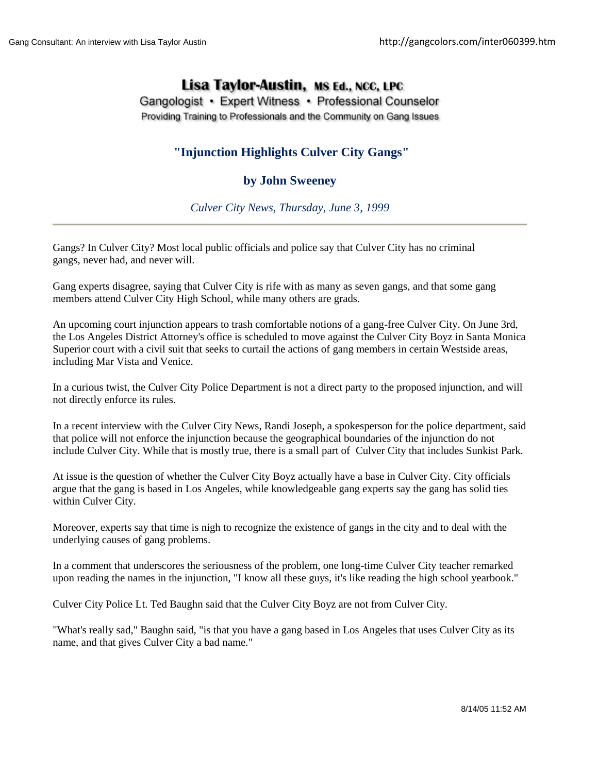## Lisa Taylor-Austin, MS Ed., NCC, LPC

Gangologist • Expert Witness • Professional Counselor Providing Training to Professionals and the Community on Gang Issues

## **"Injunction Highlights Culver City Gangs"**

## **by John Sweeney**

*Culver City News, Thursday, June 3, 1999*

Gangs? In Culver City? Most local public officials and police say that Culver City has no criminal gangs, never had, and never will.

Gang experts disagree, saying that Culver City is rife with as many as seven gangs, and that some gang members attend Culver City High School, while many others are grads.

An upcoming court injunction appears to trash comfortable notions of a gang-free Culver City. On June 3rd, the Los Angeles District Attorney's office is scheduled to move against the Culver City Boyz in Santa Monica Superior court with a civil suit that seeks to curtail the actions of gang members in certain Westside areas, including Mar Vista and Venice.

In a curious twist, the Culver City Police Department is not a direct party to the proposed injunction, and will not directly enforce its rules.

In a recent interview with the Culver City News, Randi Joseph, a spokesperson for the police department, said that police will not enforce the injunction because the geographical boundaries of the injunction do not include Culver City. While that is mostly true, there is a small part of Culver City that includes Sunkist Park.

At issue is the question of whether the Culver City Boyz actually have a base in Culver City. City officials argue that the gang is based in Los Angeles, while knowledgeable gang experts say the gang has solid ties within Culver City.

Moreover, experts say that time is nigh to recognize the existence of gangs in the city and to deal with the underlying causes of gang problems.

In a comment that underscores the seriousness of the problem, one long-time Culver City teacher remarked upon reading the names in the injunction, "I know all these guys, it's like reading the high school yearbook."

Culver City Police Lt. Ted Baughn said that the Culver City Boyz are not from Culver City.

"What's really sad," Baughn said, "is that you have a gang based in Los Angeles that uses Culver City as its name, and that gives Culver City a bad name."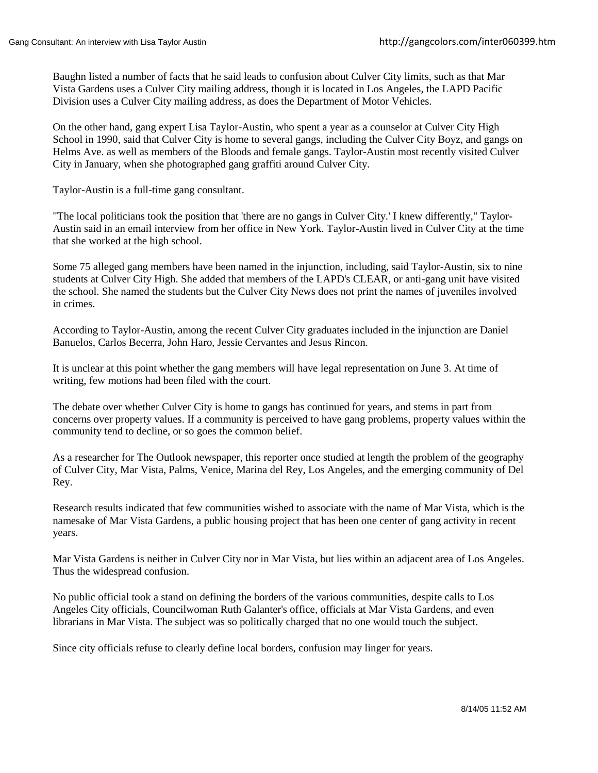Baughn listed a number of facts that he said leads to confusion about Culver City limits, such as that Mar Vista Gardens uses a Culver City mailing address, though it is located in Los Angeles, the LAPD Pacific Division uses a Culver City mailing address, as does the Department of Motor Vehicles.

On the other hand, gang expert Lisa Taylor-Austin, who spent a year as a counselor at Culver City High School in 1990, said that Culver City is home to several gangs, including the Culver City Boyz, and gangs on Helms Ave. as well as members of the Bloods and female gangs. Taylor-Austin most recently visited Culver City in January, when she photographed gang graffiti around Culver City.

Taylor-Austin is a full-time gang consultant.

"The local politicians took the position that 'there are no gangs in Culver City.' I knew differently," Taylor-Austin said in an email interview from her office in New York. Taylor-Austin lived in Culver City at the time that she worked at the high school.

Some 75 alleged gang members have been named in the injunction, including, said Taylor-Austin, six to nine students at Culver City High. She added that members of the LAPD's CLEAR, or anti-gang unit have visited the school. She named the students but the Culver City News does not print the names of juveniles involved in crimes.

According to Taylor-Austin, among the recent Culver City graduates included in the injunction are Daniel Banuelos, Carlos Becerra, John Haro, Jessie Cervantes and Jesus Rincon.

It is unclear at this point whether the gang members will have legal representation on June 3. At time of writing, few motions had been filed with the court.

The debate over whether Culver City is home to gangs has continued for years, and stems in part from concerns over property values. If a community is perceived to have gang problems, property values within the community tend to decline, or so goes the common belief.

As a researcher for The Outlook newspaper, this reporter once studied at length the problem of the geography of Culver City, Mar Vista, Palms, Venice, Marina del Rey, Los Angeles, and the emerging community of Del Rey.

Research results indicated that few communities wished to associate with the name of Mar Vista, which is the namesake of Mar Vista Gardens, a public housing project that has been one center of gang activity in recent years.

Mar Vista Gardens is neither in Culver City nor in Mar Vista, but lies within an adjacent area of Los Angeles. Thus the widespread confusion.

No public official took a stand on defining the borders of the various communities, despite calls to Los Angeles City officials, Councilwoman Ruth Galanter's office, officials at Mar Vista Gardens, and even librarians in Mar Vista. The subject was so politically charged that no one would touch the subject.

Since city officials refuse to clearly define local borders, confusion may linger for years.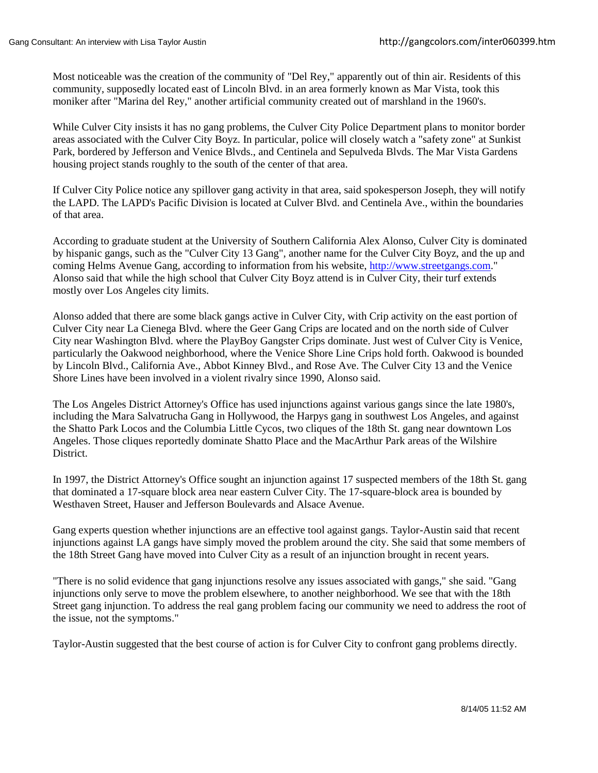Most noticeable was the creation of the community of "Del Rey," apparently out of thin air. Residents of this community, supposedly located east of Lincoln Blvd. in an area formerly known as Mar Vista, took this moniker after "Marina del Rey," another artificial community created out of marshland in the 1960's.

While Culver City insists it has no gang problems, the Culver City Police Department plans to monitor border areas associated with the Culver City Boyz. In particular, police will closely watch a "safety zone" at Sunkist Park, bordered by Jefferson and Venice Blvds., and Centinela and Sepulveda Blvds. The Mar Vista Gardens housing project stands roughly to the south of the center of that area.

If Culver City Police notice any spillover gang activity in that area, said spokesperson Joseph, they will notify the LAPD. The LAPD's Pacific Division is located at Culver Blvd. and Centinela Ave., within the boundaries of that area.

According to graduate student at the University of Southern California Alex Alonso, Culver City is dominated by hispanic gangs, such as the "Culver City 13 Gang", another name for the Culver City Boyz, and the up and coming Helms Avenue Gang, according to information from his website, [http://www.streetgangs.com.](http://web.archive.org/web/20050205004426/http:/www.streetgangs.com/)" Alonso said that while the high school that Culver City Boyz attend is in Culver City, their turf extends mostly over Los Angeles city limits.

Alonso added that there are some black gangs active in Culver City, with Crip activity on the east portion of Culver City near La Cienega Blvd. where the Geer Gang Crips are located and on the north side of Culver City near Washington Blvd. where the PlayBoy Gangster Crips dominate. Just west of Culver City is Venice, particularly the Oakwood neighborhood, where the Venice Shore Line Crips hold forth. Oakwood is bounded by Lincoln Blvd., California Ave., Abbot Kinney Blvd., and Rose Ave. The Culver City 13 and the Venice Shore Lines have been involved in a violent rivalry since 1990, Alonso said.

The Los Angeles District Attorney's Office has used injunctions against various gangs since the late 1980's, including the Mara Salvatrucha Gang in Hollywood, the Harpys gang in southwest Los Angeles, and against the Shatto Park Locos and the Columbia Little Cycos, two cliques of the 18th St. gang near downtown Los Angeles. Those cliques reportedly dominate Shatto Place and the MacArthur Park areas of the Wilshire District.

In 1997, the District Attorney's Office sought an injunction against 17 suspected members of the 18th St. gang that dominated a 17-square block area near eastern Culver City. The 17-square-block area is bounded by Westhaven Street, Hauser and Jefferson Boulevards and Alsace Avenue.

Gang experts question whether injunctions are an effective tool against gangs. Taylor-Austin said that recent injunctions against LA gangs have simply moved the problem around the city. She said that some members of the 18th Street Gang have moved into Culver City as a result of an injunction brought in recent years.

"There is no solid evidence that gang injunctions resolve any issues associated with gangs," she said. "Gang injunctions only serve to move the problem elsewhere, to another neighborhood. We see that with the 18th Street gang injunction. To address the real gang problem facing our community we need to address the root of the issue, not the symptoms."

Taylor-Austin suggested that the best course of action is for Culver City to confront gang problems directly.